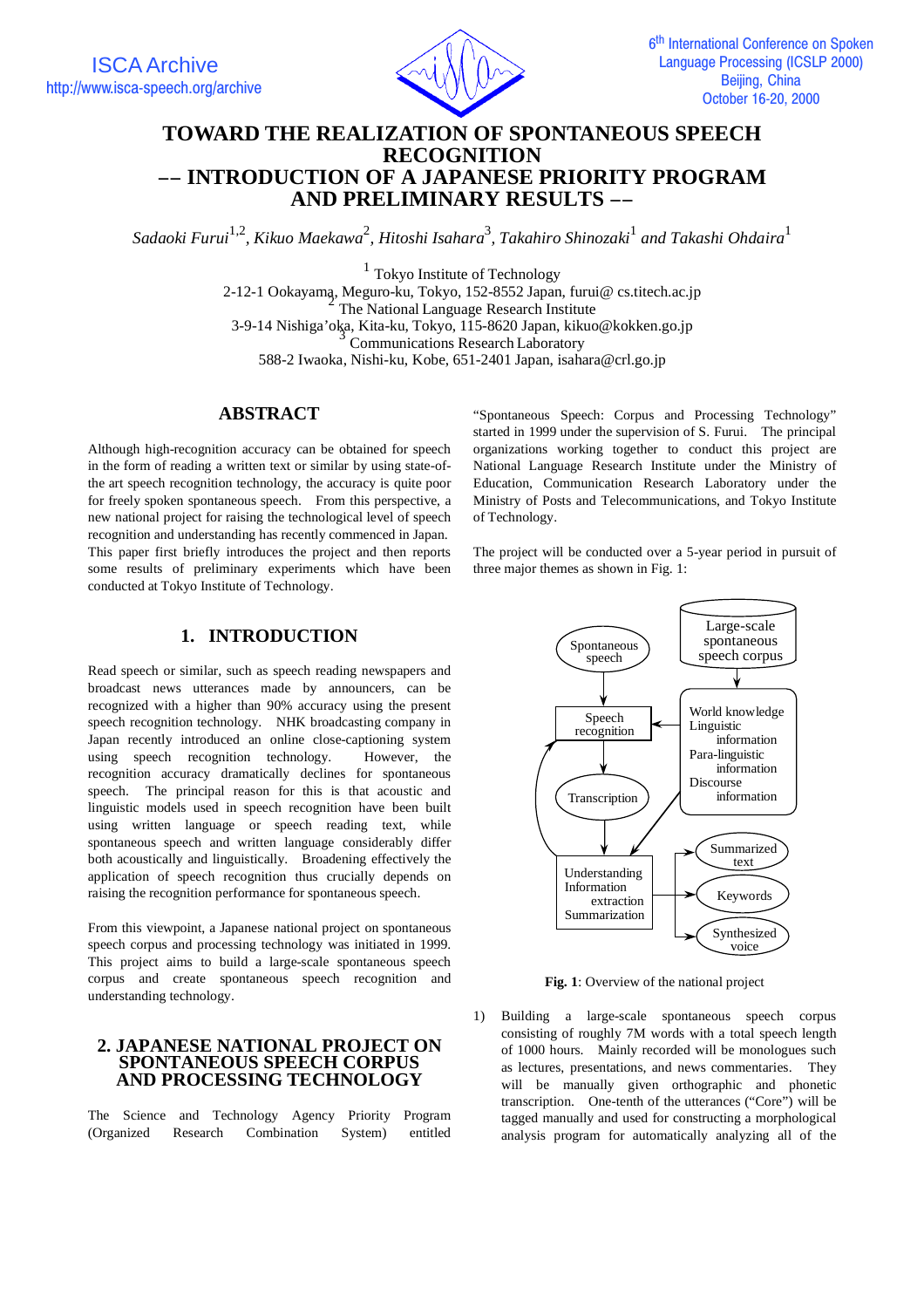

# **TOWARD THE REALIZATION OF SPONTANEOUS SPEECH RECOGNITION** −− **INTRODUCTION OF A JAPANESE PRIORITY PROGRAM AND PRELIMINARY RESULTS** −−

 $S$ adaoki Furui<sup>1,2</sup>, Kikuo Maekawa<sup>2</sup>, Hitoshi Isahara<sup>3</sup>, Takahiro Shinozaki<sup>1</sup> and Takashi Ohdaira<sup>1</sup>

<sup>1</sup> Tokyo Institute of Technology 2-12-1 Ookayama, Meguro-ku, Tokyo, 152-8552 Japan, furui@ cs.titech.ac.jp<br><sup>2</sup> The National Language Research Institute 3-9-14 Nishiga'oka, Kita-ku, Tokyo, 115-8620 Japan, kikuo@kokken.go.jp <sup>3</sup> Communications Research Laboratory 588-2 Iwaoka, Nishi-ku, Kobe, 651-2401 Japan, isahara@crl.go.jp

# **ABSTRACT**

Although high-recognition accuracy can be obtained for speech in the form of reading a written text or similar by using state-ofthe art speech recognition technology, the accuracy is quite poor for freely spoken spontaneous speech. From this perspective, a new national project for raising the technological level of speech recognition and understanding has recently commenced in Japan. This paper first briefly introduces the project and then reports some results of preliminary experiments which have been conducted at Tokyo Institute of Technology.

"Spontaneous Speech: Corpus and Processing Technology" started in 1999 under the supervision of S. Furui. The principal organizations working together to conduct this project are National Language Research Institute under the Ministry of Education, Communication Research Laboratory under the Ministry of Posts and Telecommunications, and Tokyo Institute of Technology.

The project will be conducted over a 5-year period in pursuit of three major themes as shown in Fig. 1:

#### Spontaneous speech Transcription Speech recognition Understanding Information extraction Summarization Large-scale spontaneous speech corpus World knowledge Linguistic information Para-linguistic information Discourse information Summarized text Synthesized voice Keywords

**Fig. 1**: Overview of the national project

1) Building a large-scale spontaneous speech corpus consisting of roughly 7M words with a total speech length of 1000 hours. Mainly recorded will be monologues such as lectures, presentations, and news commentaries. They will be manually given orthographic and phonetic transcription. One-tenth of the utterances ("Core") will be tagged manually and used for constructing a morphological analysis program for automatically analyzing all of the

# **1. INTRODUCTION**

Read speech or similar, such as speech reading newspapers and broadcast news utterances made by announcers, can be recognized with a higher than 90% accuracy using the present speech recognition technology. NHK broadcasting company in Japan recently introduced an online close-captioning system using speech recognition technology. However, the recognition accuracy dramatically declines for spontaneous speech. The principal reason for this is that acoustic and linguistic models used in speech recognition have been built using written language or speech reading text, while spontaneous speech and written language considerably differ both acoustically and linguistically. Broadening effectively the application of speech recognition thus crucially depends on raising the recognition performance for spontaneous speech.

From this viewpoint, a Japanese national project on spontaneous speech corpus and processing technology was initiated in 1999. This project aims to build a large-scale spontaneous speech corpus and create spontaneous speech recognition and understanding technology.

### **2. JAPANESE NATIONAL PROJECT ON SPONTANEOUS SPEECH CORPUS AND PROCESSING TECHNOLOGY**

The Science and Technology Agency Priority Program (Organized Research Combination System) entitled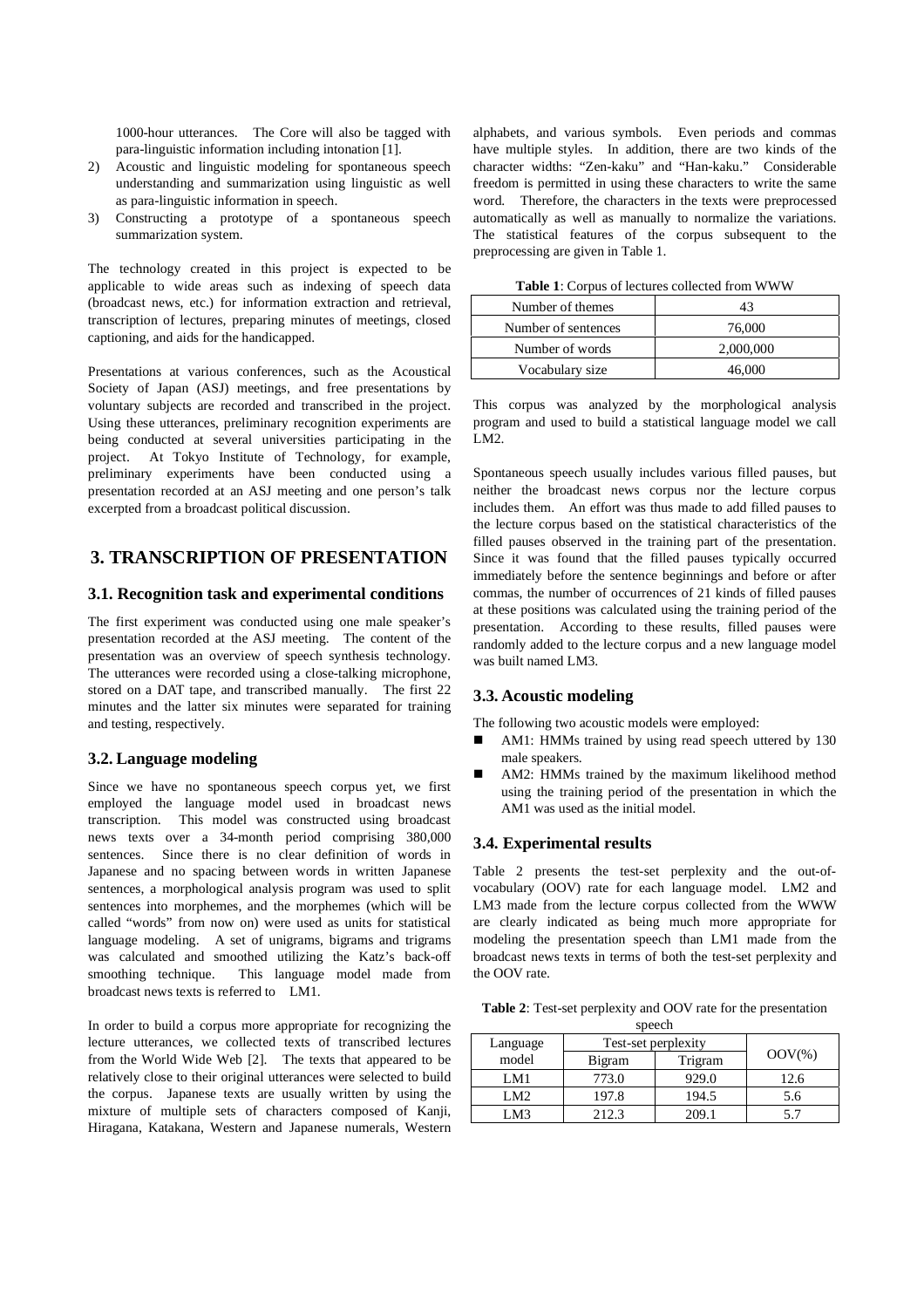1000-hour utterances. The Core will also be tagged with para-linguistic information including intonation [1].

- 2) Acoustic and linguistic modeling for spontaneous speech understanding and summarization using linguistic as well as para-linguistic information in speech.
- 3) Constructing a prototype of a spontaneous speech summarization system.

The technology created in this project is expected to be applicable to wide areas such as indexing of speech data (broadcast news, etc.) for information extraction and retrieval, transcription of lectures, preparing minutes of meetings, closed captioning, and aids for the handicapped.

Presentations at various conferences, such as the Acoustical Society of Japan (ASJ) meetings, and free presentations by voluntary subjects are recorded and transcribed in the project. Using these utterances, preliminary recognition experiments are being conducted at several universities participating in the project. At Tokyo Institute of Technology, for example, preliminary experiments have been conducted using a presentation recorded at an ASJ meeting and one person's talk excerpted from a broadcast political discussion.

# **3. TRANSCRIPTION OF PRESENTATION**

#### **3.1. Recognition task and experimental conditions**

The first experiment was conducted using one male speaker's presentation recorded at the ASJ meeting. The content of the presentation was an overview of speech synthesis technology. The utterances were recorded using a close-talking microphone, stored on a DAT tape, and transcribed manually. The first 22 minutes and the latter six minutes were separated for training and testing, respectively.

#### **3.2. Language modeling**

Since we have no spontaneous speech corpus yet, we first employed the language model used in broadcast news transcription. This model was constructed using broadcast news texts over a 34-month period comprising 380,000 sentences. Since there is no clear definition of words in Japanese and no spacing between words in written Japanese sentences, a morphological analysis program was used to split sentences into morphemes, and the morphemes (which will be called "words" from now on) were used as units for statistical language modeling. A set of unigrams, bigrams and trigrams was calculated and smoothed utilizing the Katz's back-off smoothing technique. This language model made from broadcast news texts is referred to LM1.

In order to build a corpus more appropriate for recognizing the lecture utterances, we collected texts of transcribed lectures from the World Wide Web [2]. The texts that appeared to be relatively close to their original utterances were selected to build the corpus. Japanese texts are usually written by using the mixture of multiple sets of characters composed of Kanji, Hiragana, Katakana, Western and Japanese numerals, Western

alphabets, and various symbols. Even periods and commas have multiple styles. In addition, there are two kinds of the character widths: "Zen-kaku" and "Han-kaku." Considerable freedom is permitted in using these characters to write the same word. Therefore, the characters in the texts were preprocessed automatically as well as manually to normalize the variations. The statistical features of the corpus subsequent to the preprocessing are given in Table 1.

**Table 1**: Corpus of lectures collected from WWW

| Number of themes    | 43        |  |
|---------------------|-----------|--|
| Number of sentences | 76,000    |  |
| Number of words     | 2,000,000 |  |
| Vocabulary size     | 46,000    |  |

This corpus was analyzed by the morphological analysis program and used to build a statistical language model we call  $LM2$ 

Spontaneous speech usually includes various filled pauses, but neither the broadcast news corpus nor the lecture corpus includes them. An effort was thus made to add filled pauses to the lecture corpus based on the statistical characteristics of the filled pauses observed in the training part of the presentation. Since it was found that the filled pauses typically occurred immediately before the sentence beginnings and before or after commas, the number of occurrences of 21 kinds of filled pauses at these positions was calculated using the training period of the presentation. According to these results, filled pauses were randomly added to the lecture corpus and a new language model was built named LM3.

#### **3.3. Acoustic modeling**

The following two acoustic models were employed:

- AM1: HMMs trained by using read speech uttered by 130 male speakers.
- AM2: HMMs trained by the maximum likelihood method using the training period of the presentation in which the AM1 was used as the initial model.

#### **3.4. Experimental results**

Table 2 presents the test-set perplexity and the out-ofvocabulary (OOV) rate for each language model. LM2 and LM3 made from the lecture corpus collected from the WWW are clearly indicated as being much more appropriate for modeling the presentation speech than LM1 made from the broadcast news texts in terms of both the test-set perplexity and the OOV rate.

**Table 2**: Test-set perplexity and OOV rate for the presentation

| speech   |                     |         |           |
|----------|---------------------|---------|-----------|
| Language | Test-set perplexity |         |           |
| model    | Bigram              | Trigram | $OOV(\%)$ |
| LM1      | 773.0               | 929.0   | 12.6      |
| LM2.     | 197.8               | 194.5   | 5.6       |
| LM3      | 212.3               | 209.1   |           |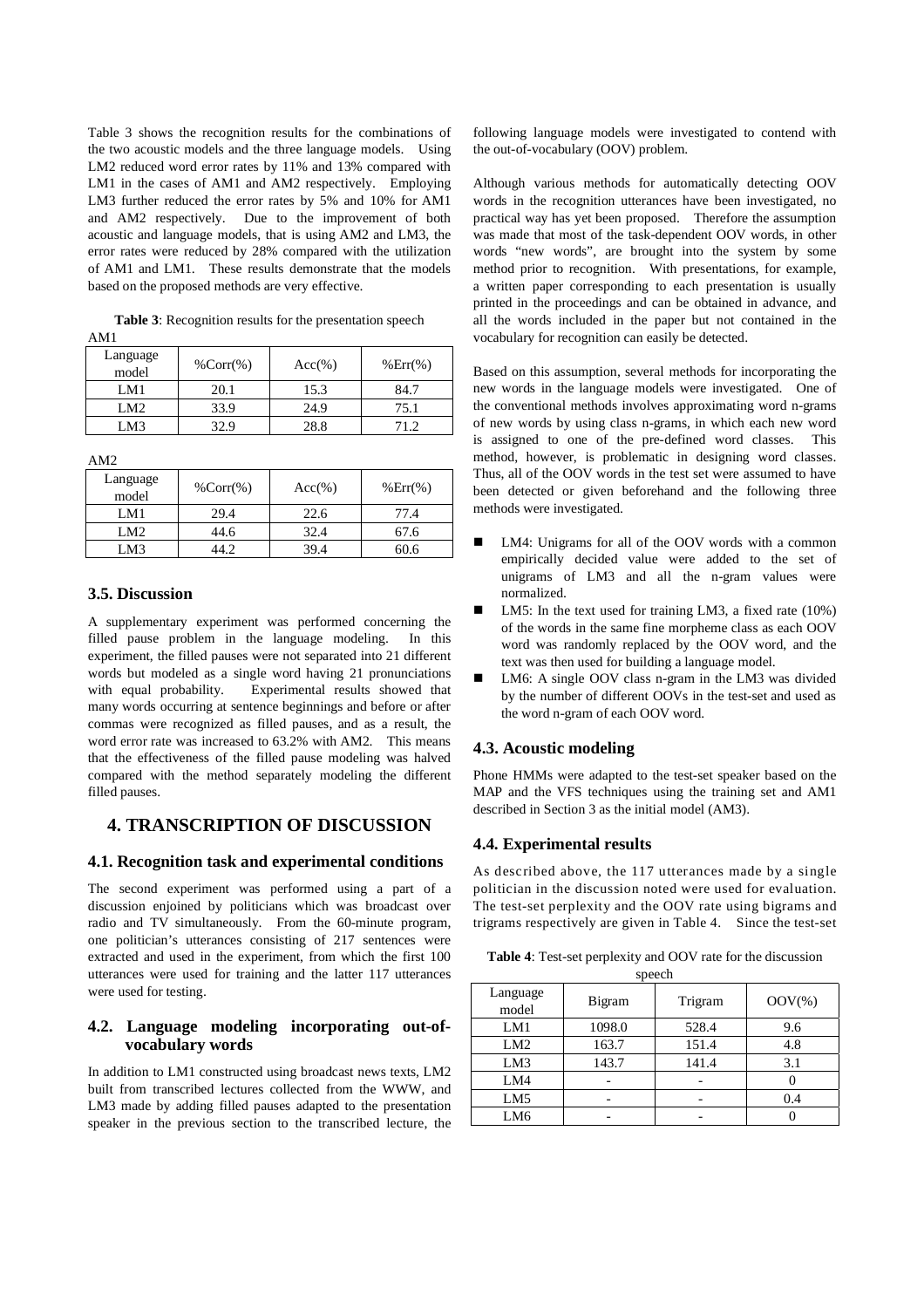Table 3 shows the recognition results for the combinations of the two acoustic models and the three language models. Using LM2 reduced word error rates by 11% and 13% compared with LM1 in the cases of AM1 and AM2 respectively. Employing LM3 further reduced the error rates by 5% and 10% for AM1 and AM2 respectively. Due to the improvement of both acoustic and language models, that is using AM2 and LM3, the error rates were reduced by 28% compared with the utilization of AM1 and LM1. These results demonstrate that the models based on the proposed methods are very effective.

**Table 3**: Recognition results for the presentation speech AM1

| Language<br>model | $%Corr(\%)$ | $Acc(\% )$ | $\%Err(\%)$ |
|-------------------|-------------|------------|-------------|
| LM1               | 20.1        | 15.3       | 84.7        |
| LM2.              | 33.9        | 24.9       | 75.1        |
| LM3               |             | 28.8       | 712         |

AM2

| Language<br>model | $%Corr(\%)$ | $Acc(\% )$ | $%Err(\%)$ |
|-------------------|-------------|------------|------------|
| LM1               | 29.4        | 22.6       | 77.4       |
| LM2.              | 44.6        | 32.4       | 67.6       |
| LM3               |             | 39.4       | 60.6       |

### **3.5. Discussion**

A supplementary experiment was performed concerning the filled pause problem in the language modeling. In this experiment, the filled pauses were not separated into 21 different words but modeled as a single word having 21 pronunciations with equal probability. Experimental results showed that many words occurring at sentence beginnings and before or after commas were recognized as filled pauses, and as a result, the word error rate was increased to 63.2% with AM2. This means that the effectiveness of the filled pause modeling was halved compared with the method separately modeling the different filled pauses.

# **4. TRANSCRIPTION OF DISCUSSION**

#### **4.1. Recognition task and experimental conditions**

The second experiment was performed using a part of a discussion enjoined by politicians which was broadcast over radio and TV simultaneously. From the 60-minute program, one politician's utterances consisting of 217 sentences were extracted and used in the experiment, from which the first 100 utterances were used for training and the latter 117 utterances were used for testing.

### **4.2. Language modeling incorporating out-ofvocabulary words**

In addition to LM1 constructed using broadcast news texts, LM2 built from transcribed lectures collected from the WWW, and LM3 made by adding filled pauses adapted to the presentation speaker in the previous section to the transcribed lecture, the

following language models were investigated to contend with the out-of-vocabulary (OOV) problem.

Although various methods for automatically detecting OOV words in the recognition utterances have been investigated, no practical way has yet been proposed. Therefore the assumption was made that most of the task-dependent OOV words, in other words "new words", are brought into the system by some method prior to recognition. With presentations, for example, a written paper corresponding to each presentation is usually printed in the proceedings and can be obtained in advance, and all the words included in the paper but not contained in the vocabulary for recognition can easily be detected.

Based on this assumption, several methods for incorporating the new words in the language models were investigated. One of the conventional methods involves approximating word n-grams of new words by using class n-grams, in which each new word is assigned to one of the pre-defined word classes. This method, however, is problematic in designing word classes. Thus, all of the OOV words in the test set were assumed to have been detected or given beforehand and the following three methods were investigated.

- LM4: Unigrams for all of the OOV words with a common empirically decided value were added to the set of unigrams of LM3 and all the n-gram values were normalized.
- LM5: In the text used for training LM3, a fixed rate (10%) of the words in the same fine morpheme class as each OOV word was randomly replaced by the OOV word, and the text was then used for building a language model.
- LM6: A single OOV class n-gram in the LM3 was divided by the number of different OOVs in the test-set and used as the word n-gram of each OOV word.

# **4.3. Acoustic modeling**

Phone HMMs were adapted to the test-set speaker based on the MAP and the VFS techniques using the training set and AM1 described in Section 3 as the initial model (AM3).

## **4.4. Experimental results**

As described above, the 117 utterances made by a single politician in the discussion noted were used for evaluation. The test-set perplexity and the OOV rate using bigrams and trigrams respectively are given in Table 4. Since the test-set

**Table 4**: Test-set perplexity and OOV rate for the discussion speech

| $-1$              |        |         |            |
|-------------------|--------|---------|------------|
| Language<br>model | Bigram | Trigram | $OOV(\% )$ |
| LM1               | 1098.0 | 528.4   | 9.6        |
| LM2               | 163.7  | 151.4   | 4.8        |
| LM3               | 143.7  | 141.4   | 3.1        |
| LM4               |        |         |            |
| LM5               |        |         | 0.4        |
| LM <sub>6</sub>   |        |         |            |